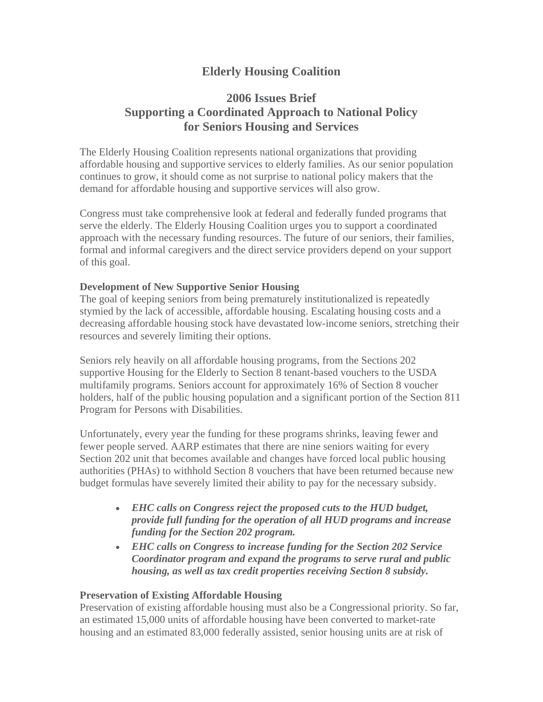# **Elderly Housing Coalition**

## **2006 Issues Brief Supporting a Coordinated Approach to National Policy for Seniors Housing and Services**

The Elderly Housing Coalition represents national organizations that providing affordable housing and supportive services to elderly families. As our senior population continues to grow, it should come as not surprise to national policy makers that the demand for affordable housing and supportive services will also grow.

Congress must take comprehensive look at federal and federally funded programs that serve the elderly. The Elderly Housing Coalition urges you to support a coordinated approach with the necessary funding resources. The future of our seniors, their families, formal and informal caregivers and the direct service providers depend on your support of this goal.

### **Development of New Supportive Senior Housing**

The goal of keeping seniors from being prematurely institutionalized is repeatedly stymied by the lack of accessible, affordable housing. Escalating housing costs and a decreasing affordable housing stock have devastated low-income seniors, stretching their resources and severely limiting their options.

Seniors rely heavily on all affordable housing programs, from the Sections 202 supportive Housing for the Elderly to Section 8 tenant-based vouchers to the USDA multifamily programs. Seniors account for approximately 16% of Section 8 voucher holders, half of the public housing population and a significant portion of the Section 811 Program for Persons with Disabilities.

Unfortunately, every year the funding for these programs shrinks, leaving fewer and fewer people served. AARP estimates that there are nine seniors waiting for every Section 202 unit that becomes available and changes have forced local public housing authorities (PHAs) to withhold Section 8 vouchers that have been returned because new budget formulas have severely limited their ability to pay for the necessary subsidy.

- **EHC calls on Congress reject the proposed cuts to the HUD budget,** *provide full funding for the operation of all HUD programs and increase funding for the Section 202 program.*
- **EHC calls on Congress to increase funding for the Section 202 Service** *Coordinator program and expand the programs to serve rural and public housing, as well as tax credit properties receiving Section 8 subsidy.*

#### **Preservation of Existing Affordable Housing**

Preservation of existing affordable housing must also be a Congressional priority. So far, an estimated 15,000 units of affordable housing have been converted to market-rate housing and an estimated 83,000 federally assisted, senior housing units are at risk of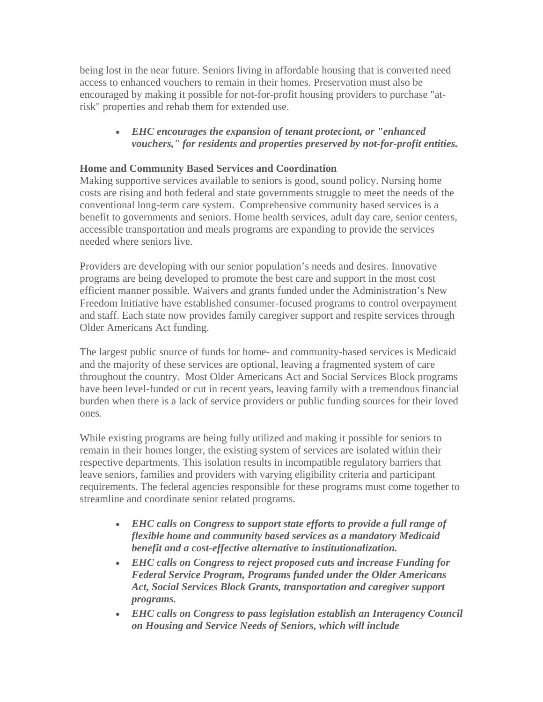being lost in the near future. Seniors living in affordable housing that is converted need access to enhanced vouchers to remain in their homes. Preservation must also be encouraged by making it possible for not-for-profit housing providers to purchase "atrisk" properties and rehab them for extended use.

## x *EHC encourages the expansion of tenant proteciont, or "enhanced vouchers," for residents and properties preserved by not-for-profit entities.*

## **Home and Community Based Services and Coordination**

Making supportive services available to seniors is good, sound policy. Nursing home costs are rising and both federal and state governments struggle to meet the needs of the conventional long-term care system. Comprehensive community based services is a benefit to governments and seniors. Home health services, adult day care, senior centers, accessible transportation and meals programs are expanding to provide the services needed where seniors live.

Providers are developing with our senior population's needs and desires. Innovative programs are being developed to promote the best care and support in the most cost efficient manner possible. Waivers and grants funded under the Administration's New Freedom Initiative have established consumer-focused programs to control overpayment and staff. Each state now provides family caregiver support and respite services through Older Americans Act funding.

The largest public source of funds for home- and community-based services is Medicaid and the majority of these services are optional, leaving a fragmented system of care throughout the country. Most Older Americans Act and Social Services Block programs have been level-funded or cut in recent years, leaving family with a tremendous financial burden when there is a lack of service providers or public funding sources for their loved ones.

While existing programs are being fully utilized and making it possible for seniors to remain in their homes longer, the existing system of services are isolated within their respective departments. This isolation results in incompatible regulatory barriers that leave seniors, families and providers with varying eligibility criteria and participant requirements. The federal agencies responsible for these programs must come together to streamline and coordinate senior related programs.

- **EHC calls on Congress to support state efforts to provide a full range of** *flexible home and community based services as a mandatory Medicaid benefit and a cost-effective alternative to institutionalization.*
- **EHC calls on Congress to reject proposed cuts and increase Funding for** *Federal Service Program, Programs funded under the Older Americans Act, Social Services Block Grants, transportation and caregiver support programs.*
- **EHC calls on Congress to pass legislation establish an Interagency Council** *on Housing and Service Needs of Seniors, which will include*